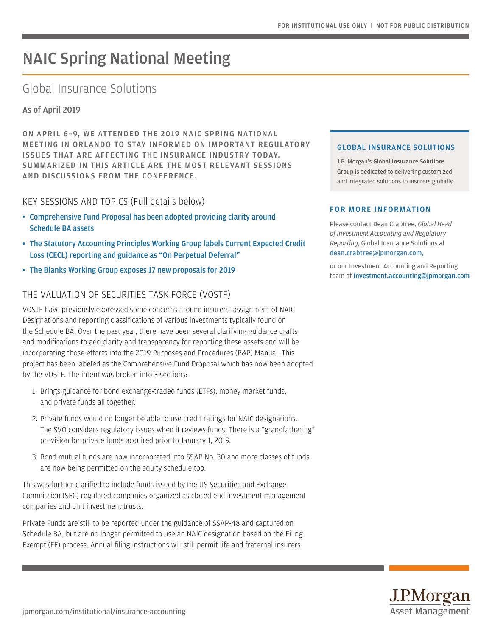# NAIC Spring National Meeting

# Global Insurance Solutions

As of April 2019

ON APRIL 6–9, WE ATTENDED THE 2019 NAIC SPRING NATIONAL MEETING IN ORLANDO TO STAY INFORMED ON IMPORTANT REGULATORY ISSUES THAT ARE AFFECTING THE INSURANCE INDUSTRY TODAY. SUMMARIZED IN THIS ARTICLE ARE THE MOST RELEVANT SESSIONS AND DISCUSSIONS FROM THE CONFERENCE.

### KEY SESSIONS AND TOPICS (Full details below)

- Comprehensive Fund Proposal has been adopted providing clarity around Schedule BA assets
- [The Statutory Accounting Principles Working Group labels Current Expected Credit](#page-1-0)  [Loss \(CECL\) reporting and guidance as "On Perpetual Deferral"](#page-1-0)
- [The Blanks Working Group exposes 17 new proposals for 2019](#page-2-0)

## THE VALUATION OF SECURITIES TASK FORCE (VOSTF)

VOSTF have previously expressed some concerns around insurers' assignment of NAIC Designations and reporting classifications of various investments typically found on the Schedule BA. Over the past year, there have been several clarifying guidance drafts and modifications to add clarity and transparency for reporting these assets and will be incorporating those efforts into the 2019 Purposes and Procedures (P&P) Manual. This project has been labeled as the Comprehensive Fund Proposal which has now been adopted by the VOSTF. The intent was broken into 3 sections:

- 1. Brings guidance for bond exchange-traded funds (ETFs), money market funds, and private funds all together.
- 2. Private funds would no longer be able to use credit ratings for NAIC designations. The SVO considers regulatory issues when it reviews funds. There is a "grandfathering" provision for private funds acquired prior to January 1, 2019.
- 3. Bond mutual funds are now incorporated into SSAP No. 30 and more classes of funds are now being permitted on the equity schedule too.

This was further clarified to include funds issued by the US Securities and Exchange Commission (SEC) regulated companies organized as closed end investment management companies and unit investment trusts.

Private Funds are still to be reported under the guidance of SSAP-48 and captured on Schedule BA, but are no longer permitted to use an NAIC designation based on the Filing Exempt (FE) process. Annual filing instructions will still permit life and fraternal insurers

#### GLOBAL INSURANCE SOLUTIONS

J.P. Morgan's Global Insurance Solutions Group is dedicated to delivering customized and integrated solutions to insurers globally.

#### FOR MORE INFORMATION

Please contact Dean Crabtree, *Global Head of Investment Accounting and Regulatory Reporting*, Global Insurance Solutions at [dean.crabtree@jpmorgan.com](mailto:dean.crabtree%40jpmorgan.com?subject=),

or our Investment Accounting and Reporting team at [investment.accounting@jpmorgan.com](http://investment.accounting@jpmorgan.com)

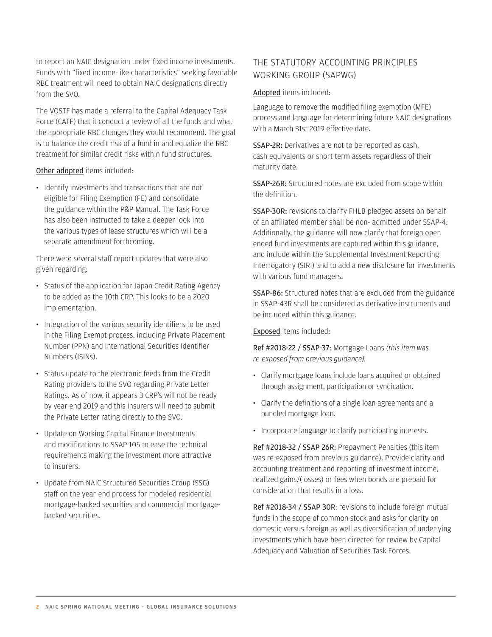<span id="page-1-0"></span>to report an NAIC designation under fixed income investments. Funds with "fixed income-like characteristics" seeking favorable RBC treatment will need to obtain NAIC designations directly from the SVO.

The VOSTF has made a referral to the Capital Adequacy Task Force (CATF) that it conduct a review of all the funds and what the appropriate RBC changes they would recommend. The goal is to balance the credit risk of a fund in and equalize the RBC treatment for similar credit risks within fund structures.

Other adopted items included:

• Identify investments and transactions that are not eligible for Filing Exemption (FE) and consolidate the guidance within the P&P Manual. The Task Force has also been instructed to take a deeper look into the various types of lease structures which will be a separate amendment forthcoming.

There were several staff report updates that were also given regarding:

- Status of the application for Japan Credit Rating Agency to be added as the 10th CRP. This looks to be a 2020 implementation.
- Integration of the various security identifiers to be used in the Filing Exempt process, including Private Placement Number (PPN) and International Securities Identifier Numbers (ISINs).
- Status update to the electronic feeds from the Credit Rating providers to the SVO regarding Private Letter Ratings. As of now, it appears 3 CRP's will not be ready by year end 2019 and this insurers will need to submit the Private Letter rating directly to the SVO.
- Update on Working Capital Finance Investments and modifications to SSAP 105 to ease the technical requirements making the investment more attractive to insurers.
- Update from NAIC Structured Securities Group (SSG) staff on the year-end process for modeled residential mortgage-backed securities and commercial mortgagebacked securities.

# THE STATUTORY ACCOUNTING PRINCIPLES WORKING GROUP (SAPWG)

Adopted items included:

Language to remove the modified filing exemption (MFE) process and language for determining future NAIC designations with a March 31st 2019 effective date.

SSAP-2R: Derivatives are not to be reported as cash, cash equivalents or short term assets regardless of their maturity date.

SSAP-26R: Structured notes are excluded from scope within the definition.

SSAP-30R: revisions to clarify FHLB pledged assets on behalf of an affiliated member shall be non- admitted under SSAP-4. Additionally, the guidance will now clarify that foreign open ended fund investments are captured within this guidance, and include within the Supplemental Investment Reporting Interrogatory (SIRI) and to add a new disclosure for investments with various fund managers.

SSAP-86: Structured notes that are excluded from the guidance in SSAP-43R shall be considered as derivative instruments and be included within this guidance.

Exposed items included:

Ref #2018-22 / SSAP-37: Mortgage Loans *(this item was re-exposed from previous guidance).*

- Clarify mortgage loans include loans acquired or obtained through assignment, participation or syndication.
- Clarify the definitions of a single loan agreements and a bundled mortgage loan.
- Incorporate language to clarify participating interests.

Ref #2018-32 / SSAP 26R: Prepayment Penalties (this item was re-exposed from previous guidance). Provide clarity and accounting treatment and reporting of investment income, realized gains/(losses) or fees when bonds are prepaid for consideration that results in a loss.

Ref #2018-34 / SSAP 30R: revisions to include foreign mutual funds in the scope of common stock and asks for clarity on domestic versus foreign as well as diversification of underlying investments which have been directed for review by Capital Adequacy and Valuation of Securities Task Forces.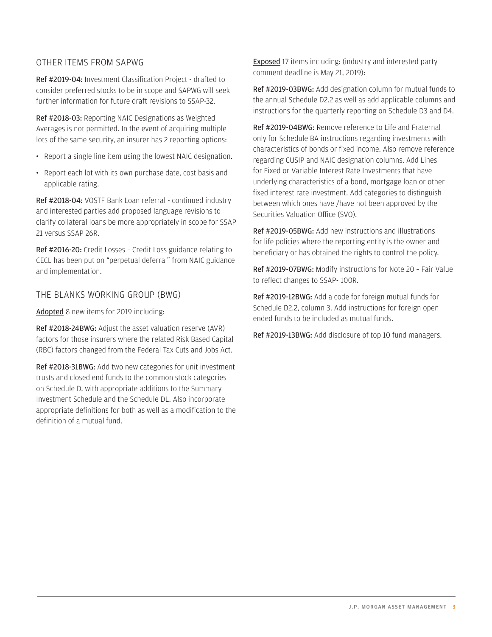## <span id="page-2-0"></span>OTHER ITEMS FROM SAPWG

Ref #2019-04: Investment Classification Project - drafted to consider preferred stocks to be in scope and SAPWG will seek further information for future draft revisions to SSAP-32.

Ref #2018-03: Reporting NAIC Designations as Weighted Averages is not permitted. In the event of acquiring multiple lots of the same security, an insurer has 2 reporting options:

- Report a single line item using the lowest NAIC designation.
- Report each lot with its own purchase date, cost basis and applicable rating.

Ref #2018-04: VOSTF Bank Loan referral - continued industry and interested parties add proposed language revisions to clarify collateral loans be more appropriately in scope for SSAP 21 versus SSAP 26R.

Ref #2016-20: Credit Losses – Credit Loss guidance relating to CECL has been put on "perpetual deferral" from NAIC guidance and implementation.

THE BLANKS WORKING GROUP (BWG)

Adopted 8 new items for 2019 including:

Ref #2018-24BWG: Adjust the asset valuation reserve (AVR) factors for those insurers where the related Risk Based Capital (RBC) factors changed from the Federal Tax Cuts and Jobs Act.

Ref #2018-31BWG: Add two new categories for unit investment trusts and closed end funds to the common stock categories on Schedule D, with appropriate additions to the Summary Investment Schedule and the Schedule DL. Also incorporate appropriate definitions for both as well as a modification to the definition of a mutual fund.

**Exposed** 17 items including: (industry and interested party comment deadline is May 21, 2019):

Ref #2019-03BWG: Add designation column for mutual funds to the annual Schedule D2.2 as well as add applicable columns and instructions for the quarterly reporting on Schedule D3 and D4.

Ref #2019-04BWG: Remove reference to Life and Fraternal only for Schedule BA instructions regarding investments with characteristics of bonds or fixed income. Also remove reference regarding CUSIP and NAIC designation columns. Add Lines for Fixed or Variable Interest Rate Investments that have underlying characteristics of a bond, mortgage loan or other fixed interest rate investment. Add categories to distinguish between which ones have /have not been approved by the Securities Valuation Office (SVO).

Ref #2019-05BWG: Add new instructions and illustrations for life policies where the reporting entity is the owner and beneficiary or has obtained the rights to control the policy.

Ref #2019-07BWG: Modify instructions for Note 20 – Fair Value to reflect changes to SSAP- 100R.

Ref #2019-12BWG: Add a code for foreign mutual funds for Schedule D2.2, column 3. Add instructions for foreign open ended funds to be included as mutual funds.

Ref #2019-13BWG: Add disclosure of top 10 fund managers.